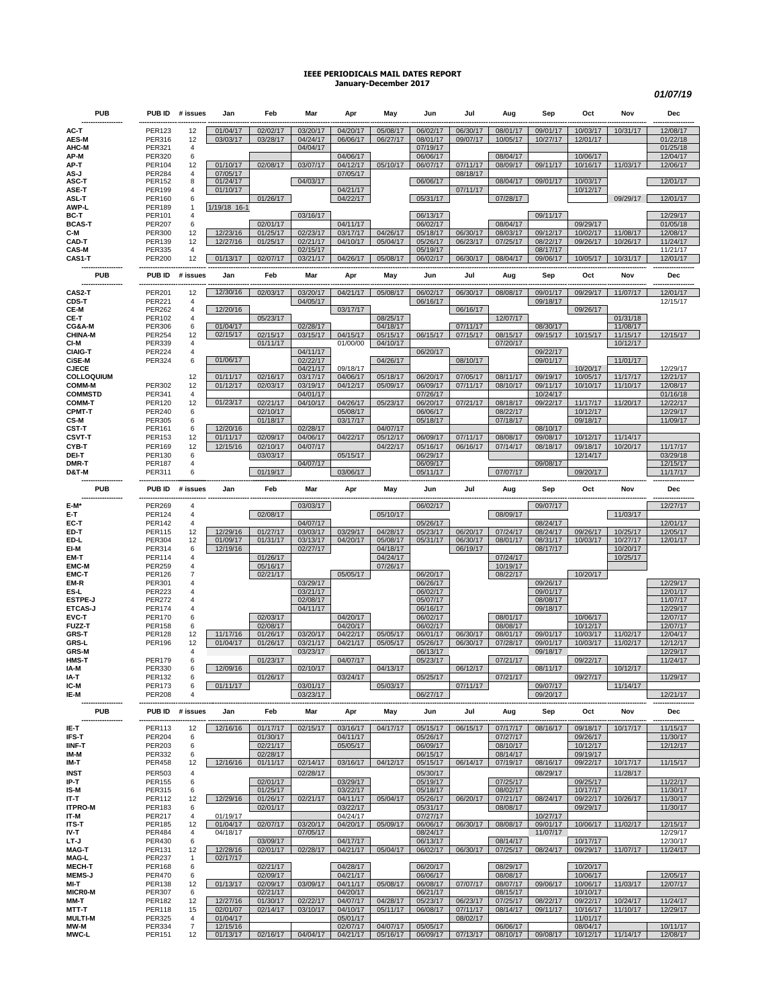## **IEEE PERIODICALS MAIL DATES REPORT January-December 2017**

*01/07/19*

| <b>PUB</b>                         |                                | PUB ID # issues      | Jan                  | Feb                  | Mar                  | Apr                  | May                  | Jun                  | Jul                  | Aug                  | Sep                  | Oct                  | Nov                  | Dec                  |
|------------------------------------|--------------------------------|----------------------|----------------------|----------------------|----------------------|----------------------|----------------------|----------------------|----------------------|----------------------|----------------------|----------------------|----------------------|----------------------|
| AC-T                               | <b>PER123</b>                  | 12                   | 01/04/17             | 02/02/17             | 03/20/17             | 04/20/17             | 05/08/17             | 06/02/17             | 06/30/17             | 08/01/17             | 09/01/17             | 10/03/17             | 10/31/17             | 12/08/17             |
| <b>AES-M</b>                       | <b>PER316</b>                  | 12                   | 03/03/17             | 03/28/17             | 04/24/17             | 06/06/17             | 06/27/17             | 08/01/17             | 09/07/17             | 10/05/17             | 10/27/17             | 12/01/17             |                      | 01/22/18             |
| AHC-M                              | PER321                         | 4                    |                      |                      | 04/04/17             |                      |                      | 07/19/17             |                      |                      |                      |                      |                      | 01/25/18             |
| AP-M                               | <b>PER320</b>                  | 6                    |                      |                      |                      | 04/06/17             |                      | 06/06/17             |                      | 08/04/17             |                      | 10/06/17             |                      | 12/04/17             |
| AP-T                               | <b>PER104</b>                  | 12                   | 01/10/17             | 02/08/17             | 03/07/17             | 04/12/17             | 05/10/17             | 06/07/17             | 07/11/17             | 08/09/17             | 09/11/17             | 10/16/17             | 11/03/17             | 12/06/17             |
| AS-J<br>ASC-T                      | <b>PER284</b><br><b>PER152</b> | 4<br>8               | 07/05/17<br>01/24/17 |                      | 04/03/17             | 07/05/17             |                      | 06/06/17             | 08/18/17             | 08/04/17             | 09/01/17             | 10/03/17             |                      | 12/01/17             |
| ASE-T                              | <b>PER199</b>                  | $\overline{4}$       | 01/10/17             |                      |                      | 04/21/17             |                      |                      | 07/11/17             |                      |                      | 10/12/17             |                      |                      |
| ASL-T                              | PER160                         | 6                    |                      | 01/26/17             |                      | 04/22/17             |                      | 05/31/17             |                      | 07/28/17             |                      |                      | 09/29/17             | 12/01/17             |
| AWP-L                              | <b>PER189</b>                  | 1                    | 1/19/18 16-1         |                      |                      |                      |                      |                      |                      |                      |                      |                      |                      |                      |
| BC-T<br><b>BCAS-T</b>              | PER101<br><b>PER207</b>        | $\overline{4}$<br>6  |                      | 02/01/17             | 03/16/17             | 04/11/17             |                      | 06/13/17<br>06/02/17 |                      | 08/04/17             | 09/11/17             | 09/29/17             |                      | 12/29/17<br>01/05/18 |
| C-M                                | <b>PER300</b>                  | 12                   | 12/23/16             | 01/25/17             | 02/23/17             | 03/17/17             | 04/26/17             | 05/18/17             | 06/30/17             | 08/03/17             | 09/12/17             | 10/02/17             | 11/08/17             | 12/08/17             |
| CAD-T                              | <b>PER139</b>                  | 12                   | 12/27/16             | 01/25/17             | 02/21/17             | 04/10/17             | 05/04/17             | 05/26/17             | 06/23/17             | 07/25/17             | 08/22/17             | 09/26/17             | 10/26/17             | 11/24/17             |
| <b>CAS-M</b>                       | <b>PER335</b>                  | 4                    |                      |                      | 02/15/17             |                      |                      | 05/19/17             |                      |                      | 08/17/17             |                      |                      | 11/21/17             |
| CAS1-T                             | <b>PER200</b>                  | 12                   | 01/13/17             | 02/07/17             | 03/21/17             | 04/26/17             | 05/08/17             | 06/02/17             | 06/30/17             | 08/04/17             | 09/06/17             | 10/05/17             | 10/31/17             | 12/01/17             |
| <b>PUB</b>                         | PUB ID                         | # issues             | Jan<br>12/30/16      | Feb                  | Mar                  | Apr                  | May                  | Jun                  | Jul                  | Aug                  | Sep                  | Oct<br>09/29/17      | Nov<br>11/07/17      | Dec                  |
| CAS2-T<br>CDS-T                    | <b>PER201</b><br><b>PER221</b> | 12<br>4              |                      | 02/03/17             | 03/20/17<br>04/05/17 | 04/21/17             | 05/08/17             | 06/02/17<br>06/16/17 | 06/30/17             | 08/08/17             | 09/01/17<br>09/18/17 |                      |                      | 12/01/17<br>12/15/17 |
| CE-M                               | <b>PER262</b>                  | 4                    | 12/20/16             |                      |                      | 03/17/17             |                      |                      | 06/16/17             |                      |                      | 09/26/17             |                      |                      |
| CE-T                               | PER102                         | 4                    |                      | 05/23/17             |                      |                      | 08/25/17             |                      |                      | 12/07/17             |                      |                      | 01/31/18             |                      |
| CG&A-M                             | <b>PER306</b>                  | 6                    | 01/04/17             |                      | 02/28/17             |                      | 04/18/17             |                      | 07/11/17             |                      | 08/30/17             |                      | 11/08/17             |                      |
| <b>CHINA-M</b><br>CI-M             | <b>PER254</b><br><b>PER339</b> | 12<br>$\overline{4}$ | 02/15/17             | 02/15/17<br>01/11/17 | 03/15/17             | 04/15/17<br>01/00/00 | 05/15/17<br>04/10/17 | 06/15/17             | 07/15/17             | 08/15/17<br>07/20/17 | 09/15/17             | 10/15/17             | 11/15/17<br>10/12/17 | 12/15/17             |
| <b>CIAIG-T</b>                     | <b>PER224</b>                  | 4                    |                      |                      | 04/11/17             |                      |                      | 06/20/17             |                      |                      | 09/22/17             |                      |                      |                      |
| <b>CISE-M</b>                      | <b>PER324</b>                  | 6                    | 01/06/17             |                      | 02/22/17             |                      | 04/26/17             |                      | 08/10/17             |                      | 09/01/17             |                      | 11/01/17             |                      |
| <b>CJECE</b>                       |                                |                      |                      |                      | 04/21/17             | 09/18/17             |                      |                      |                      |                      |                      | 10/20/17             |                      | 12/29/17             |
| <b>COLLOQUIUM</b><br><b>COMM-M</b> | <b>PER302</b>                  | 12<br>12             | 01/11/17<br>01/12/17 | 02/16/17<br>02/03/17 | 03/17/17<br>03/19/17 | 04/06/17<br>04/12/17 | 05/18/17<br>05/09/17 | 06/20/17<br>06/09/17 | 07/05/17<br>07/11/17 | 08/11/17<br>08/10/17 | 09/19/17<br>09/11/17 | 10/05/17<br>10/10/17 | 11/17/17<br>11/10/17 | 12/21/17<br>12/08/17 |
| <b>COMMSTD</b>                     | <b>PER341</b>                  | 4                    |                      |                      | 04/01/17             |                      |                      | 07/26/17             |                      |                      | 10/24/17             |                      |                      | 01/16/18             |
| <b>COMM-T</b>                      | <b>PER120</b>                  | 12                   | 01/23/17             | 02/21/17             | 04/10/17             | 04/26/17             | 05/23/17             | 06/20/17             | 07/21/17             | 08/18/17             | 09/22/17             | 11/17/17             | 11/20/17             | 12/22/17             |
| <b>CPMT-T</b>                      | <b>PER240</b>                  | 6                    |                      | 02/10/17             |                      | 05/08/17             |                      | 06/06/17             |                      | 08/22/17             |                      | 10/12/17             |                      | 12/29/17             |
| <b>CS-M</b>                        | <b>PER305</b>                  | 6                    | 12/20/16             | 01/18/17             | 02/28/17             | 03/17/17             | 04/07/17             | 05/18/17             |                      | 07/18/17             |                      | 09/18/17             |                      | 11/09/17             |
| CST-T<br><b>CSVT-T</b>             | <b>PER161</b><br><b>PER153</b> | 6<br>12              | 01/11/17             | 02/09/17             | 04/06/17             | 04/22/17             | 05/12/17             | 06/09/17             | 07/11/17             | 08/08/17             | 08/10/17<br>09/08/17 | 10/12/17             | 11/14/17             |                      |
| CYB-T                              | <b>PER169</b>                  | 12                   | 12/15/16             | 02/10/17             | 04/07/17             |                      | 04/22/17             | 05/16/17             | 06/16/17             | 07/14/17             | 08/18/17             | 09/18/17             | 10/20/17             | 11/17/17             |
| DEI-T                              | <b>PER130</b>                  | 6                    |                      | 03/03/17             |                      | 05/15/17             |                      | 06/29/17             |                      |                      |                      | 12/14/17             |                      | 03/29/18             |
| DMR-T<br>D&T-M                     | <b>PER187</b><br>PER311        | 4<br>6               |                      | 01/19/17             | 04/07/17             | 03/06/17             |                      | 06/09/17<br>05/11/17 |                      | 07/07/17             | 09/08/17             | 09/20/17             |                      | 12/15/17<br>11/17/17 |
| <b>PUB</b>                         | PUB ID                         | # issues             | Jan                  | Feb                  | Mar                  | Apr                  | May                  | Jun                  | Jul                  | Aug                  | Sep                  | Oct                  | Nov                  | Dec                  |
| E-M'                               | <b>PER269</b>                  | 4                    |                      |                      | 03/03/17             |                      |                      | 06/02/17             |                      |                      | 09/07/17             |                      |                      | 12/27/17             |
| E-T                                | <b>PER124</b>                  | $\overline{4}$       |                      | 02/08/17             |                      |                      | 05/10/17             |                      |                      | 08/09/17             |                      |                      | 11/03/17             |                      |
|                                    |                                |                      |                      |                      |                      |                      |                      |                      |                      |                      |                      |                      |                      |                      |
| EC-T                               | <b>PER142</b>                  | $\overline{4}$       |                      |                      | 04/07/17             |                      |                      | 05/26/17             |                      |                      | 08/24/17             |                      |                      | 12/01/17             |
| ED-T<br>ED-L                       | <b>PER115</b>                  | 12<br>12             | 12/29/16             | 01/27/17             | 03/03/17             | 03/29/17             | 04/28/17             | 05/23/17             | 06/20/17             | 07/24/17             | 08/24/17             | 09/26/17             | 10/25/17             | 12/05/17             |
| EI-M                               | <b>PER304</b><br><b>PER314</b> | 6                    | 01/09/17<br>12/19/16 | 01/31/17             | 03/13/17<br>02/27/17 | 04/20/17             | 05/08/17<br>04/18/17 | 05/31/17             | 06/30/17<br>06/19/17 | 08/01/17             | 08/31/17<br>08/17/17 | 10/03/17             | 10/27/17<br>10/20/17 | 12/01/17             |
| EM-T                               | <b>PER114</b>                  | $\overline{4}$       |                      | 01/26/17             |                      |                      | 04/24/17             |                      |                      | 07/24/17             |                      |                      | 10/25/17             |                      |
| <b>EMC M</b>                       | <b>PER259</b>                  | $\overline{4}$       |                      | 05/16/17             |                      |                      | 07/26/17             |                      |                      | 10/19/17             |                      |                      |                      |                      |
| <b>EMC-T</b>                       | <b>PER126</b>                  | $\overline{7}$<br>4  |                      | 02/21/17             |                      | 05/05/17             |                      | 06/20/17             |                      | 08/22/17             |                      | 10/20/17             |                      |                      |
| EM-R<br>ES-L                       | <b>PER301</b><br><b>PER223</b> | $\overline{4}$       |                      |                      | 03/29/17<br>03/21/17 |                      |                      | 06/26/17<br>06/02/17 |                      |                      | 09/26/17<br>09/01/17 |                      |                      | 12/29/17<br>12/01/17 |
| <b>ESTPE-J</b>                     | <b>PER272</b>                  | 4                    |                      |                      | 02/08/17             |                      |                      | 05/07/17             |                      |                      | 08/08/17             |                      |                      | 11/07/17             |
| <b>ETCAS J</b>                     | <b>PER174</b>                  | $\overline{4}$       |                      |                      | 04/11/17             |                      |                      | 06/16/17             |                      |                      | 09/18/17             |                      |                      | 12/29/17             |
| <b>EVC-T</b>                       | <b>PER170</b>                  | 6                    |                      | 02/03/17             |                      | 04/20/17             |                      | 06/02/17             |                      | 08/01/17             |                      | 10/06/17             |                      | 12/07/17             |
| <b>FUZZ-T</b><br><b>GRS-T</b>      | <b>PER158</b><br><b>PER128</b> | 6<br>12              | 11/17/16             | 02/08/17<br>01/26/17 | 03/20/17             | 04/20/17<br>04/22/17 | 05/05/17             | 06/02/17<br>06/01/17 | 06/30/17             | 08/08/17<br>08/01/17 | 09/01/17             | 10/12/17<br>10/03/17 | 11/02/17             | 12/07/17<br>12/04/17 |
| GRS-L                              | <b>PER196</b>                  | 12                   | 01/04/17             | 01/26/17             | 03/21/17             | 04/21/17             | 05/05/17             | 05/26/17             | 06/30/17             | 07/28/17             | 09/01/17             | 10/03/17             | 11/02/17             | 12/12/17             |
| <b>GRS-M</b>                       |                                | 4                    |                      |                      | 03/23/17             |                      |                      | 06/13/17             |                      |                      | 09/18/17             |                      |                      | 12/29/17             |
| <b>HMS-T</b>                       | <b>PER179</b>                  | 6                    |                      | 01/23/17             |                      | 04/07/17             |                      | 05/23/17             |                      | 07/21/17             |                      | 09/22/17             |                      | 11/24/17             |
| IA M<br>IA-T                       | <b>PER330</b><br>PER132        | 6<br>6               | 12/09/16             | 01/26/17             | 02/10/17             | 03/24/17             | 04/13/17             | 05/25/17             | 06/12/17             | 07/21/17             | 08/11/17             | 09/27/17             | 10/12/17             | 11/29/17             |
| IC-M<br>IE-M                       | <b>PER173</b><br><b>PER208</b> | 6<br>4               | 01/11/17             |                      | 03/01/17<br>03/23/17 |                      | 05/03/17             | 06/27/17             | 07/11/17             |                      | 09/07/17<br>09/20/17 |                      | 11/14/17             | 12/21/17             |
| <b>PUB</b>                         |                                | PUB ID # issues      | Jan                  | Feb                  | Mar                  | Apr                  | May                  | Jun                  | Jul                  | Aug                  | Sep                  | Oct                  | Nov                  | Dec                  |
|                                    |                                |                      |                      |                      |                      |                      |                      |                      |                      |                      |                      |                      |                      |                      |
| IE-T                               | <b>PER113</b>                  | 12                   | 12/16/16             | 01/17/17             | 02/15/17             | 03/16/17             | 04/17/17             | 05/15/17             | 06/15/17             | 07/17/17             | 08/16/17             | 09/18/17             | 10/17/17             | 11/15/17             |
| IFS-T<br><b>IINF-T</b>             | <b>PER204</b><br><b>PER203</b> | 6<br>6               |                      | 01/30/17<br>02/21/17 |                      | 04/11/17<br>05/05/17 |                      | 05/26/17<br>06/09/17 |                      | 07/27/17<br>08/10/17 |                      | 09/26/17<br>10/12/17 |                      | 11/30/17<br>12/12/17 |
| IM M                               | <b>PER332</b>                  | 6                    |                      | 02/28/17             |                      |                      |                      | 06/15/17             |                      | 08/14/17             |                      | 09/19/17             |                      |                      |
| IM-T                               | <b>PER458</b>                  | 12                   | 12/16/16             | 01/11/17             | 02/14/17             | 03/16/17             | 04/12/17             | 05/15/17             | 06/14/17             | 07/19/17             | 08/16/17             | 09/22/17             | 10/17/17             | 11/15/17             |
| <b>INST</b>                        | <b>PER503</b>                  | $\overline{4}$       |                      |                      | 02/28/17             |                      |                      | 05/30/17             |                      |                      | 08/29/17             |                      | 11/28/17             |                      |
| IP-T                               | <b>PER155</b>                  | 6                    |                      | 02/01/17             |                      | 03/29/17             |                      | 05/19/17             |                      | 07/25/17             |                      | 09/25/17             |                      | 11/22/17             |
| IS-M<br>IT-T                       | <b>PER315</b><br><b>PER112</b> | 6<br>12              | 12/29/16             | 01/25/17<br>01/26/17 | 02/21/17             | 03/22/17<br>04/11/17 | 05/04/17             | 05/18/17<br>05/26/17 | 06/20/17             | 08/02/17<br>07/21/17 | 08/24/17             | 10/17/17<br>09/22/17 | 10/26/17             | 11/30/17<br>11/30/17 |
| <b>ITPRO-M</b>                     | <b>PER183</b>                  | 6                    |                      | 02/01/17             |                      | 03/22/17             |                      | 05/31/17             |                      | 08/08/17             |                      | 09/29/17             |                      | 11/30/17             |
| IT-M                               | <b>PER217</b>                  | 4                    | 01/19/17             |                      |                      | 04/24/17             |                      | 07/27/17             |                      |                      | 10/27/17             |                      |                      |                      |
| ITS-T                              | <b>PER185</b>                  | 12                   | 01/04/17             | 02/07/17             | 03/20/17             | 04/20/17             | 05/09/17             | 06/06/17             | 06/30/17             | 08/08/17             | 09/01/17             | 10/06/17             | 11/02/17             | 12/15/17             |
| IV-T<br>LT-J                       | <b>PER484</b><br><b>PER430</b> | 4<br>6               | 04/18/17             | 03/09/17             | 07/05/17             | 04/17/17             |                      | 08/24/17<br>06/13/17 |                      | 08/14/17             | 11/07/17             | 10/17/17             |                      | 12/29/17<br>12/30/17 |
| <b>MAG-T</b>                       | PER131                         | 12                   | 12/28/16             | 02/01/17             | 02/28/17             | 04/21/17             | 05/04/17             | 06/02/17             | 06/30/17             | 07/25/17             | 08/24/17             | 09/29/17             | 11/07/17             | 11/24/17             |
| <b>MAG-L</b>                       | <b>PER237</b>                  | $\mathbf{1}$         | 02/17/17             |                      |                      |                      |                      |                      |                      |                      |                      |                      |                      |                      |
| <b>MECH-T</b>                      | <b>PER168</b>                  | 6                    |                      | 02/21/17             |                      | 04/28/17             |                      | 06/20/17             |                      | 08/29/17             |                      | 10/20/17             |                      |                      |
| <b>MEMS-J</b>                      | <b>PER470</b>                  | 6                    |                      | 02/09/17             |                      | 04/21/17             |                      | 06/06/17             |                      | 08/08/17             |                      | 10/06/17             |                      | 12/05/17             |
| MI-T<br><b>MICRO-M</b>             | <b>PER138</b><br><b>PER307</b> | 12<br>6              | 01/13/17             | 02/09/17<br>02/21/17 | 03/09/17             | 04/11/17<br>04/20/17 | 05/08/17             | 06/08/17<br>06/21/17 | 07/07/17             | 08/07/17<br>08/15/17 | 09/06/17             | 10/06/17<br>10/10/17 | 11/03/17             | 12/07/17             |
| MM-T                               | <b>PER182</b>                  | 12                   | 12/27/16             | 01/30/17             | 02/22/17             | 04/07/17             | 04/28/17             | 05/23/17             | 06/23/17             | 07/25/17             | 08/22/17             | 09/22/17             | 10/24/17             | 11/24/17             |
| MTT-T                              | <b>PER118</b>                  | 15                   | 02/01/07             | 02/14/17             | 03/10/17             | 04/10/17             | 05/11/17             | 06/08/17             | 07/11/17             | 08/14/17             | 09/11/17             | 10/16/17             | 11/10/17             | 12/29/17             |
| <b>MULTI-M</b><br>MW-M             | <b>PER325</b><br><b>PER334</b> | 4<br>$\overline{7}$  | 01/04/17<br>12/15/16 |                      |                      | 05/01/17<br>02/07/17 | 04/07/17             | 05/05/17             | 08/02/17             | 06/06/17             |                      | 11/01/17<br>08/04/17 |                      | 10/11/17             |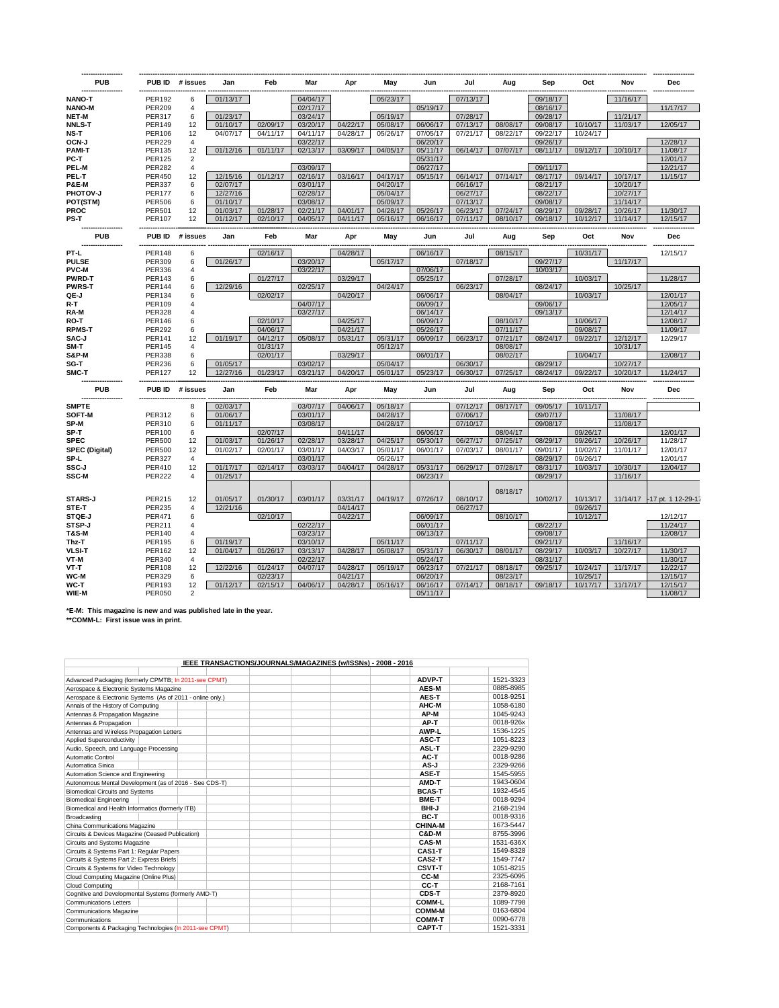| <b>PUB</b>            |               | PUB ID # issues | Jan      | Feb      | Mar      | Apr      | May      | Jun      | Jul      | Aug      | Sep      | Oct      | Nov      | <b>Dec</b>                  |
|-----------------------|---------------|-----------------|----------|----------|----------|----------|----------|----------|----------|----------|----------|----------|----------|-----------------------------|
| <b>NANO-T</b>         | <b>PER192</b> | 6               | 01/13/17 |          | 04/04/17 |          | 05/23/17 |          | 07/13/17 |          | 09/18/17 |          | 11/16/17 |                             |
| <b>NANO-M</b>         | <b>PER209</b> | 4               |          |          | 02/17/17 |          |          | 05/19/17 |          |          | 08/16/17 |          |          | 11/17/17                    |
| <b>NET-M</b>          | <b>PER317</b> | 6               | 01/23/17 |          | 03/24/17 |          | 05/19/17 |          | 07/28/17 |          | 09/28/17 |          | 11/21/17 |                             |
| <b>NNLS-T</b>         | <b>PER149</b> | 12              | 01/10/17 | 02/09/17 | 03/20/17 | 04/22/17 | 05/08/17 | 06/06/17 | 07/13/17 | 08/08/17 | 09/08/17 | 10/10/17 | 11/03/17 | 12/05/17                    |
| NS-T                  | PER106        | 12              | 04/07/17 | 04/11/17 | 04/11/17 | 04/28/17 | 05/26/17 | 07/05/17 | 07/21/17 | 08/22/17 | 09/22/17 | 10/24/17 |          |                             |
| OCN-J                 | <b>PER229</b> | $\overline{4}$  |          |          | 03/22/17 |          |          | 06/20/17 |          |          | 09/26/17 |          |          | 12/28/17                    |
| <b>PAMI-T</b>         | <b>PER135</b> | 12              | 01/12/16 | 01/11/17 | 02/13/17 | 03/09/17 | 04/05/17 | 05/11/17 | 06/14/17 | 07/07/17 | 08/11/17 | 09/12/17 | 10/10/17 | 11/08/17                    |
| PC-T                  | <b>PER125</b> | $\overline{2}$  |          |          |          |          |          | 05/31/17 |          |          |          |          |          | 12/01/17                    |
| PEL-M                 | <b>PER282</b> | $\overline{4}$  |          |          | 03/09/17 |          |          | 06/27/17 |          |          | 09/11/17 |          |          | 12/21/17                    |
| PEL-T                 | <b>PER450</b> | 12              | 12/15/16 | 01/12/17 | 02/16/17 | 03/16/17 | 04/17/17 | 05/15/17 | 06/14/17 | 07/14/17 | 08/17/17 | 09/14/17 | 10/17/17 | 11/15/17                    |
| P&E-M                 | <b>PER337</b> | 6               | 02/07/17 |          | 03/01/17 |          | 04/20/17 |          | 06/16/17 |          | 08/21/17 |          | 10/20/17 |                             |
| PHOTOV-J              | <b>PER177</b> | 6               | 12/27/16 |          | 02/28/17 |          | 05/04/17 |          | 06/27/17 |          | 08/22/17 |          | 10/27/17 |                             |
| POT(STM)              | <b>PER506</b> | 6               | 01/10/17 |          | 03/08/17 |          | 05/09/17 |          | 07/13/17 |          | 09/08/17 |          | 11/14/17 |                             |
| <b>PROC</b>           | <b>PER501</b> | 12              | 01/03/17 | 01/28/17 | 02/21/17 | 04/01/17 | 04/28/17 | 05/26/17 | 06/23/17 | 07/24/17 | 08/29/17 | 09/28/17 | 10/26/17 | 11/30/17                    |
| PS-T                  | <b>PER107</b> | 12              | 01/12/17 | 02/10/17 | 04/05/17 | 04/11/17 | 05/16/17 | 06/16/17 | 07/11/17 | 08/10/17 | 09/18/17 | 10/12/17 | 11/14/17 | 12/15/17                    |
| <b>PUB</b>            | PUB ID        | # issues        | Jan      | Feb      | Mar      | Apr      | May      | Jun      | Jul      | Aug      | Sep      | Oct      | Nov      | <b>Dec</b>                  |
| PT-L                  | <b>PER148</b> | 6               |          | 02/16/17 |          | 04/28/17 |          | 06/16/17 |          | 08/15/17 |          | 10/31/17 |          | 12/15/17                    |
| <b>PULSE</b>          | <b>PER309</b> | 6               | 01/26/17 |          | 03/20/17 |          | 05/17/17 |          | 07/18/17 |          | 09/27/17 |          | 11/17/17 |                             |
| <b>PVC-M</b>          | <b>PER336</b> | 4               |          |          | 03/22/17 |          |          | 07/06/17 |          |          | 10/03/17 |          |          |                             |
| <b>PWRD-T</b>         | <b>PER143</b> | 6               |          | 01/27/17 |          | 03/29/17 |          | 05/25/17 |          | 07/28/17 |          | 10/03/17 |          | 11/28/17                    |
| <b>PWRS-T</b>         | <b>PER144</b> | 6               | 12/29/16 |          | 02/25/17 |          | 04/24/17 |          | 06/23/17 |          | 08/24/17 |          | 10/25/17 |                             |
| QE J                  | <b>PER134</b> | 6               |          | 02/02/17 |          | 04/20/17 |          | 06/06/17 |          | 08/04/17 |          | 10/03/17 |          | 12/01/17                    |
| R-T                   | <b>PER109</b> | $\overline{4}$  |          |          | 04/07/17 |          |          | 06/09/17 |          |          | 09/06/17 |          |          | 12/05/17                    |
| RA-M                  | <b>PER328</b> | $\overline{4}$  |          |          | 03/27/17 |          |          | 06/14/17 |          |          | 09/13/17 |          |          | 12/14/17                    |
| RO-T                  | <b>PER146</b> | 6               |          | 02/10/17 |          | 04/25/17 |          | 06/09/17 |          | 08/10/17 |          | 10/06/17 |          | 12/08/17                    |
| <b>RPMS-T</b>         | <b>PER292</b> | 6               |          | 04/06/17 |          | 04/21/17 |          | 05/26/17 |          | 07/11/17 |          | 09/08/17 |          | 11/09/17                    |
| SAC-J                 | <b>PER141</b> | 12              | 01/19/17 | 04/12/17 | 05/08/17 | 05/31/17 | 05/31/17 | 06/09/17 | 06/23/17 | 07/21/17 | 08/24/17 | 09/22/17 | 12/12/17 | 12/29/17                    |
| SM-T                  | <b>PER145</b> | 4               |          | 01/31/17 |          |          | 05/12/17 |          |          | 08/08/17 |          |          | 10/31/17 |                             |
| <b>S&amp;P-M</b>      | <b>PER338</b> | 6               |          | 02/01/17 |          | 03/29/17 |          | 06/01/17 |          | 08/02/17 |          | 10/04/17 |          | 12/08/17                    |
| SG-T                  | <b>PER236</b> | 6               | 01/05/17 |          | 03/02/17 |          | 05/04/17 |          | 06/30/17 |          | 08/29/17 |          | 10/27/17 |                             |
| SMC-T                 | <b>PER127</b> | 12              | 12/27/16 | 01/23/17 | 03/21/17 | 04/20/17 | 05/01/17 | 05/23/17 | 06/30/17 | 07/25/17 | 08/24/17 | 09/22/17 | 10/20/17 | 11/24/17                    |
| <b>PUB</b>            | PUB ID        | # issues        | Jan      | Feb      | Mar      | Apr      | May      | Jun      | Jul      | Aug      | Sep      | Oct      | Nov      | Dec                         |
| <b>SMPTE</b>          |               | 8               | 02/03/17 |          | 03/07/17 | 04/06/17 | 05/18/17 |          | 07/12/17 | 08/17/17 | 09/05/17 | 10/11/17 |          |                             |
| SOFT-M                | <b>PER312</b> | 6               | 01/06/17 |          | 03/01/17 |          | 04/28/17 |          | 07/06/17 |          | 09/07/17 |          | 11/08/17 |                             |
| SP-M                  | <b>PER310</b> | 6               | 01/11/17 |          | 03/08/17 |          | 04/28/17 |          | 07/10/17 |          | 09/08/17 |          | 11/08/17 |                             |
| SP-T                  | <b>PER100</b> | 6               |          | 02/07/17 |          | 04/11/17 |          | 06/06/17 |          | 08/04/17 |          | 09/26/17 |          | 12/01/17                    |
| <b>SPEC</b>           | <b>PER500</b> | 12              | 01/03/17 | 01/26/17 | 02/28/17 | 03/28/17 | 04/25/17 | 05/30/17 | 06/27/17 | 07/25/17 | 08/29/17 | 09/26/17 | 10/26/17 | 11/28/17                    |
| <b>SPEC (Digital)</b> | <b>PER500</b> | 12              | 01/02/17 | 02/01/17 | 03/01/17 | 04/03/17 | 05/01/17 | 06/01/17 | 07/03/17 | 08/01/17 | 09/01/17 | 10/02/17 | 11/01/17 | 12/01/17                    |
| SP-L                  | <b>PER327</b> | 4               |          |          | 03/01/17 |          | 05/26/17 |          |          |          | 08/29/17 | 09/26/17 |          | 12/01/17                    |
| SSC-J                 | <b>PER410</b> | 12              | 01/17/17 | 02/14/17 | 03/03/17 | 04/04/17 | 04/28/17 | 05/31/17 | 06/29/17 | 07/28/17 | 08/31/17 | 10/03/17 | 10/30/17 | 12/04/17                    |
| SSC-M                 | <b>PER222</b> | $\overline{4}$  | 01/25/17 |          |          |          |          | 06/23/17 |          |          | 08/29/17 |          | 11/16/17 |                             |
|                       |               |                 |          |          |          |          |          |          |          | 08/18/17 |          |          |          |                             |
| <b>STARS-J</b>        | <b>PER215</b> | 12              | 01/05/17 | 01/30/17 | 03/01/17 | 03/31/17 | 04/19/17 | 07/26/17 | 08/10/17 |          | 10/02/17 | 10/13/17 |          | 11/14/17 -17 pt. 1 12-29-17 |
| STE-T                 | <b>PER235</b> | $\overline{4}$  | 12/21/16 |          |          | 04/14/17 |          |          | 06/27/17 |          |          | 09/26/17 |          |                             |
| STQE-J                | <b>PER471</b> | 6               |          | 02/10/17 |          | 04/22/17 |          | 06/09/17 |          | 08/10/17 | 08/22/17 | 10/12/17 |          | 12/12/17                    |
| STSP-J                | PER211        | $\overline{4}$  |          |          | 02/22/17 |          |          | 06/01/17 |          |          |          |          |          | 11/24/17                    |
| <b>T&amp;S-M</b>      | <b>PER140</b> | 4               |          |          | 03/23/17 |          |          | 06/13/17 |          |          | 09/08/17 |          |          | 12/08/17                    |
| Thz-T                 | <b>PER195</b> | 6               | 01/19/17 |          | 03/10/17 |          | 05/11/17 |          | 07/11/17 |          | 09/21/17 |          | 11/16/17 |                             |
| <b>VLSI-T</b>         | PER162        | 12              | 01/04/17 | 01/26/17 | 03/13/17 | 04/28/17 | 05/08/17 | 05/31/17 | 06/30/17 | 08/01/17 | 08/29/17 | 10/03/17 | 10/27/17 | 11/30/17                    |
| VT-M                  | <b>PER340</b> | $\overline{4}$  |          |          | 02/22/17 |          |          | 05/24/17 |          |          | 08/31/17 |          |          | 11/30/17                    |
| VT-T                  | <b>PER108</b> | 12              | 12/22/16 | 01/24/17 | 04/07/17 | 04/28/17 | 05/19/17 | 06/23/17 | 07/21/17 | 08/18/17 | 09/25/17 | 10/24/17 | 11/17/17 | 12/22/17                    |
| WC-M                  | <b>PER329</b> | 6               |          | 02/23/17 |          | 04/21/17 |          | 06/20/17 |          | 08/23/17 |          | 10/25/17 |          | 12/15/17                    |
| WC-T                  | <b>PER193</b> | 12              | 01/12/17 | 02/15/17 | 04/06/17 | 04/28/17 | 05/16/17 | 06/16/17 | 07/14/17 | 08/18/17 | 09/18/17 | 10/17/17 | 11/17/17 | 12/15/17                    |
| WIE-M                 | <b>PER050</b> | $\overline{2}$  |          |          |          |          |          | 05/11/17 |          |          |          |          |          | 11/08/17                    |

**\*E-M: This magazine is new and was published late in the year. \*\*COMM-L: First issue was in print.**

| IEEE TRANSACTIONS/JOURNALS/MAGAZINES (w/ISSNs) - 2008 - 2016 |                |           |
|--------------------------------------------------------------|----------------|-----------|
|                                                              |                |           |
| Advanced Packaging (formerly CPMTB; In 2011-see CPMT)        | ADVP-T         | 1521-3323 |
| Aerospace & Electronic Systems Magazine                      | AES-M          | 0885-8985 |
| Aerospace & Electronic Systems (As of 2011 - online only.)   | AES-T          | 0018-9251 |
| Annals of the History of Computing                           | AHC-M          | 1058-6180 |
| Antennas & Propagation Magazine                              | AP-M           | 1045-9243 |
| Antennas & Propagation                                       | AP-T           | 0018-926x |
| Antennas and Wireless Propagation Letters                    | AWP-L          | 1536-1225 |
| <b>Applied Superconductivity</b>                             | ASC-T          | 1051-8223 |
| Audio, Speech, and Language Processing                       | ASL-T          | 2329-9290 |
| Automatic Control                                            | AC-T           | 0018-9286 |
| Automatica Sinica                                            | AS-J           | 2329-9266 |
| Automation Science and Engineering                           | ASE-T          | 1545-5955 |
| Autonomous Mental Development (as of 2016 - See CDS-T)       | AMD-T          | 1943-0604 |
| <b>Biomedical Circuits and Systems</b>                       | <b>BCAS-T</b>  | 1932-4545 |
| <b>Biomedical Engineering</b>                                | <b>BME-T</b>   | 0018-9294 |
| Biomedical and Health Informatics (formerly ITB)             | <b>BHI-J</b>   | 2168-2194 |
| Broadcasting                                                 | BC-T           | 0018-9316 |
| China Communications Magazine                                | <b>CHINA-M</b> | 1673-5447 |
| Circuits & Devices Magazine (Ceased Publication)             | C&D-M          | 8755-3996 |
| Circuits and Systems Magazine                                | CAS-M          | 1531-636X |
| Circuits & Systems Part 1: Regular Papers                    | CAS1-T         | 1549-8328 |
| Circuits & Systems Part 2: Express Briefs                    | CAS2-T         | 1549-7747 |
| Circuits & Systems for Video Technology                      | CSVT-T         | 1051-8215 |
| Cloud Computing Magazine (Online Plus)                       | CC-M           | 2325-6095 |
| Cloud Computing                                              | CC-T           | 2168-7161 |
| Cognitive and Developmental Systems (formerly AMD-T)         | CDS-T          | 2379-8920 |
| Communications Letters                                       | <b>COMM-L</b>  | 1089-7798 |
| <b>Communications Magazine</b>                               | <b>COMM-M</b>  | 0163-6804 |
| Communications                                               | <b>COMM-T</b>  | 0090-6778 |
| Components & Packaging Technologies (In 2011-see CPMT)       | CAPT-T         | 1521-3331 |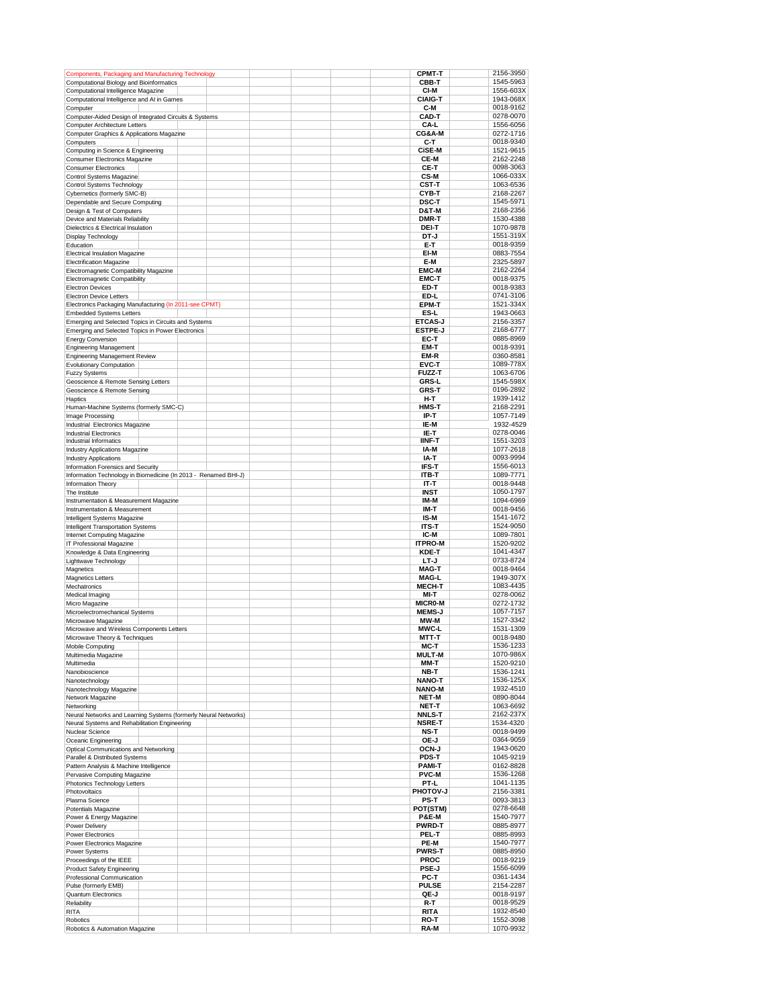| Components, Packaging and Manufacturing Technology                                    | <b>CPMT-T</b>        | 2156-3950              |
|---------------------------------------------------------------------------------------|----------------------|------------------------|
| Computational Biology and Bioinformatics                                              | CBB-T                | 1545-5963              |
| Computational Intelligence Magazine                                                   | CI-M                 | 1556-603X              |
| Computational Intelligence and AI in Games                                            | <b>CIAIG-T</b>       | 1943-068X              |
| Computer                                                                              | C-M                  | 0018-9162              |
| Computer-Aided Design of Integrated Circuits & Systems                                | <b>CAD-T</b>         | 0278-0070              |
| <b>Computer Architecture Letters</b>                                                  | CA-L<br>CG&A-M       | 1556-6056<br>0272-1716 |
| Computer Graphics & Applications Magazine<br>Computers                                | C-T                  | 0018-9340              |
| Computing in Science & Engineering                                                    | <b>CISE M</b>        | 1521-9615              |
| <b>Consumer Electronics Magazine</b>                                                  | CE-M                 | 2162-2248              |
| <b>Consumer Electronics</b>                                                           | CE-T                 | 0098-3063              |
| Control Systems Magazine                                                              | CS-M                 | 1066-033X              |
| Control Systems Technology                                                            | CST-T                | 1063-6536              |
| Cybernetics (formerly SMC-B)                                                          | CYB-T                | 2168-2267              |
| Dependable and Secure Computing                                                       | <b>DSC-T</b>         | 1545-5971              |
| Design & Test of Computers                                                            | D&T-M                | 2168-2356              |
| Device and Materials Reliability                                                      | DMR-T                | 1530-4388              |
| Dielectrics & Electrical Insulation                                                   | <b>DEI-T</b>         | 1070-9878              |
| Display Technology                                                                    | DT-J                 | 1551-319X              |
| Education                                                                             | E-T                  | 0018-9359              |
| <b>Electrical Insulation Magazine</b>                                                 | EI-M<br>E-M          | 0883-7554<br>2325-5897 |
| <b>Electrification Magazine</b><br>Electromagnetic Compatibility Magazine             | <b>EMC-M</b>         | 2162-2264              |
| <b>Electromagnetic Compatibility</b>                                                  | <b>EMC-T</b>         | 0018-9375              |
| <b>Electron Devices</b>                                                               | ED-T                 | 0018-9383              |
| Electron Device Letters                                                               | ED-L                 | 0741-3106              |
| Electronics Packaging Manufacturing (In 2011-see CPMT)                                | EPM-T                | 1521-334X              |
| <b>Embedded Systems Letters</b>                                                       | ES-L                 | 1943-0663              |
| Emerging and Selected Topics in Circuits and Systems                                  | <b>ETCAS-J</b>       | 2156-3357              |
| Emerging and Selected Topics in Power Electronics                                     | <b>ESTPE-J</b>       | 2168-6777              |
| <b>Energy Conversion</b>                                                              | EC-T                 | 0885-8969              |
| <b>Engineering Management</b>                                                         | EM-T                 | 0018-9391              |
| Engineering Management Review                                                         | EM R                 | 0360-8581              |
| Evolutionary Computation                                                              | EVC-T                | 1089-778X              |
| <b>Fuzzy Systems</b>                                                                  | <b>FUZZ-T</b>        | 1063-6706              |
| Geoscience & Remote Sensing Letters                                                   | <b>GRS-L</b>         | 1545-598X<br>0196-2892 |
| Geoscience & Remote Sensing<br>Haptics                                                | <b>GRS-T</b><br>H-T  | 1939-1412              |
| Human-Machine Systems (formerly SMC-C)                                                | <b>HMS-T</b>         | 2168-2291              |
| Image Processing                                                                      | IP-T                 | 1057-7149              |
| Industrial Electronics Magazine                                                       | IE-M                 | 1932-4529              |
| <b>Industrial Electronics</b>                                                         | IE-T                 | 0278-0046              |
| Industrial Informatics                                                                | <b>IINF-T</b>        | 1551-3203              |
| Industry Applications Magazine                                                        | IA-M                 | 1077-2618              |
| <b>Industry Applications</b>                                                          | IA-T                 | 0093-9994              |
| Information Forensics and Security                                                    | IFS-T                | 1556-6013<br>1089-7771 |
| Information Technology in Biomedicine (In 2013 - Renamed BHI-J)<br>Information Theory | ITB-T<br>IT-T        | 0018-9448              |
| The Institute                                                                         | INST                 | 1050-1797              |
| Instrumentation & Measurement Magazine                                                | IM-M                 | 1094-6969              |
| Instrumentation & Measurement                                                         | IM-T                 | 0018-9456              |
| Intelligent Systems Magazine                                                          | IS-M                 | 1541-1672              |
| Intelligent Transportation Systems                                                    | ITS-T                | 1524-9050              |
| Internet Computing Magazine                                                           | IC-M                 | 1089-7801              |
| IT Professional Magazine                                                              | <b>ITPRO-M</b>       | 1520-9202              |
| Knowledge & Data Engineering                                                          | <b>KDE-T</b>         | 1041-4347              |
| Lightwave Technology<br>Magnetics                                                     | LT-J<br><b>MAG-T</b> | 0733-8724<br>0018-9464 |
| <b>Magnetics Letters</b>                                                              | <b>MAG-L</b>         | 1949-307X              |
| Mechatronics                                                                          | <b>MECH-T</b>        | 1083-4435              |
| Medical Imaging                                                                       | MI-T                 | 0278-0062              |
| Micro Magazine                                                                        | <b>MICRO-M</b>       | 0272-1732              |
| Microelectromechanical Systems                                                        | <b>MEMS-J</b>        | 1057-7157              |
| Microwave Magazine                                                                    | MW-M                 | 1527-3342              |
| Microwave and Wireless Components Letters                                             | <b>MWC-L</b>         | 1531-1309              |
| Microwave Theory & Techniques                                                         | MTT-T                | 0018-9480              |
| Mobile Computing                                                                      | мс т                 | 1536-1233              |
| Multimedia Magazine                                                                   | <b>MULT-M</b>        | 1070-986X              |
| Multimedia<br>Nanobioscience                                                          | MM-T<br>NB-T         | 1520-9210<br>1536-1241 |
| Nanotechnology                                                                        | <b>NANO-T</b>        | 1536-125X              |
| Nanotechnology Magazine                                                               | <b>NANO-M</b>        | 1932-4510              |
| Network Magazine                                                                      | <b>NET-M</b>         | 0890-8044              |
| Networking                                                                            | NET-T                | 1063-6692              |
| Neural Networks and Learning Systems (formerly Neural Networks)                       | <b>NNLS-T</b>        | 2162-237X              |
| Neural Systems and Rehabilitation Engineering                                         | <b>NSRE-T</b>        | 1534-4320              |
| Nuclear Science                                                                       | NS T                 | 0018-9499              |
| Oceanic Engineering                                                                   | OE-J                 | 0364-9059              |
| Optical Communications and Networking<br>Parallel & Distributed Systems               | OCN-J<br>PDS-T       | 1943-0620              |
| Pattern Analysis & Machine Intelligence                                               | <b>PAMI-T</b>        | 1045-9219<br>0162-8828 |
| Pervasive Computing Magazine                                                          | <b>PVC-M</b>         | 1536-1268              |
| Photonics Technology Letters                                                          | PT-L                 | 1041-1135              |
| Photovoltaics                                                                         | PHOTOV-J             | 2156-3381              |
| Plasma Science                                                                        | PS-T                 | 0093-3813              |
| Potentials Magazine                                                                   | POT(STM)             | 0278-6648              |
| Power & Energy Magazine                                                               | <b>P&amp;E-M</b>     | 1540-7977              |
| Power Delivery                                                                        | <b>PWRD-T</b>        | 0885-8977              |
| Power Electronics<br>Power Electronics Magazine                                       | PEL-T<br>PE M        | 0885-8993<br>1540-7977 |
| Power Systems                                                                         | <b>PWRS-T</b>        | 0885-8950              |
| Proceedings of the IEEE                                                               | <b>PROC</b>          | 0018-9219              |
| Product Safety Engineering                                                            | <b>PSE-J</b>         | 1556-6099              |
| Professional Communication                                                            | PC-T                 | 0361-1434              |
| Pulse (formerly EMB)                                                                  | <b>PULSE</b>         | 2154-2287              |
| <b>Quantum Electronics</b>                                                            | QE-J                 | 0018-9197              |
| Reliability                                                                           | R-T                  | 0018-9529              |
| <b>RITA</b><br>Robotics                                                               | <b>RITA</b><br>RO-T  | 1932-8540<br>1552-3098 |
| Robotics & Automation Magazine                                                        | RA-M                 | 1070-9932              |
|                                                                                       |                      |                        |